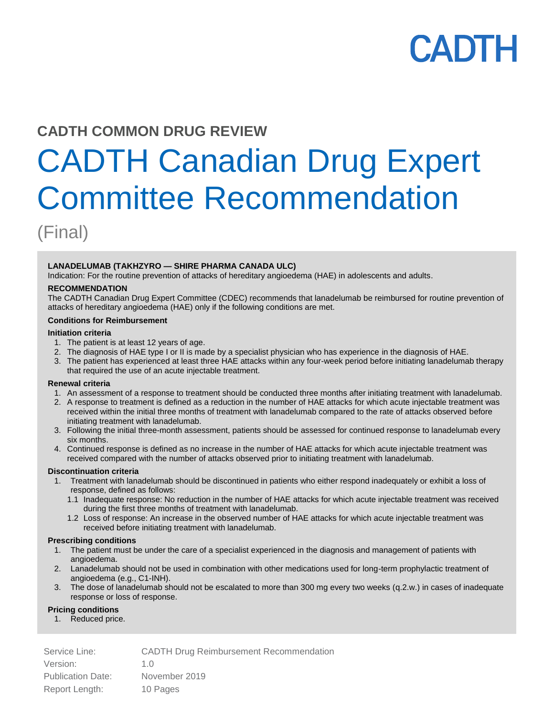# **CADTH**

## **CADTH COMMON DRUG REVIEW**

# CADTH Canadian Drug Expert Committee Recommendation

(Final)

#### **LANADELUMAB (TAKHZYRO — SHIRE PHARMA CANADA ULC)**

Indication: For the routine prevention of attacks of hereditary angioedema (HAE) in adolescents and adults.

#### **RECOMMENDATION**

The CADTH Canadian Drug Expert Committee (CDEC) recommends that lanadelumab be reimbursed for routine prevention of attacks of hereditary angioedema (HAE) only if the following conditions are met.

#### **Conditions for Reimbursement**

#### **Initiation criteria**

- 1. The patient is at least 12 years of age.
- 2. The diagnosis of HAE type I or II is made by a specialist physician who has experience in the diagnosis of HAE.
- 3. The patient has experienced at least three HAE attacks within any four-week period before initiating lanadelumab therapy that required the use of an acute injectable treatment.

#### **Renewal criteria**

- 1. An assessment of a response to treatment should be conducted three months after initiating treatment with lanadelumab.
- 2. A response to treatment is defined as a reduction in the number of HAE attacks for which acute injectable treatment was received within the initial three months of treatment with lanadelumab compared to the rate of attacks observed before initiating treatment with lanadelumab.
- 3. Following the initial three-month assessment, patients should be assessed for continued response to lanadelumab every six months.
- 4. Continued response is defined as no increase in the number of HAE attacks for which acute injectable treatment was received compared with the number of attacks observed prior to initiating treatment with lanadelumab.

#### **Discontinuation criteria**

- 1. Treatment with lanadelumab should be discontinued in patients who either respond inadequately or exhibit a loss of response, defined as follows:
	- 1.1 Inadequate response: No reduction in the number of HAE attacks for which acute injectable treatment was received during the first three months of treatment with lanadelumab.
	- 1.2 Loss of response: An increase in the observed number of HAE attacks for which acute injectable treatment was received before initiating treatment with lanadelumab.

#### **Prescribing conditions**

- 1. The patient must be under the care of a specialist experienced in the diagnosis and management of patients with angioedema.
- 2. Lanadelumab should not be used in combination with other medications used for long-term prophylactic treatment of angioedema (e.g., C1-INH).
- 3. The dose of lanadelumab should not be escalated to more than 300 mg every two weeks (q.2.w.) in cases of inadequate response or loss of response.

#### **Pricing conditions**

1. Reduced price.

Service Line: CADTH Drug Reimbursement Recommendation Version: 1.0 Publication Date: November 2019 Report Length: 10 Pages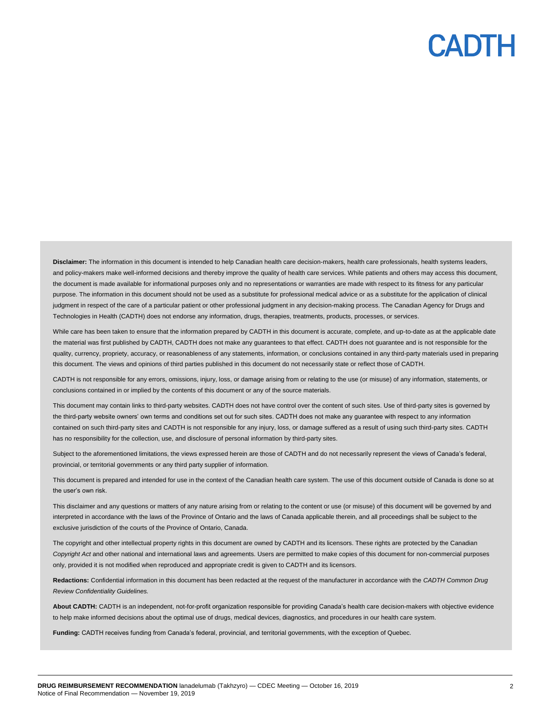## CADTH

Disclaimer: The information in this document is intended to help Canadian health care decision-makers, health care professionals, health systems leaders, and policy-makers make well-informed decisions and thereby improve the quality of health care services. While patients and others may access this document, the document is made available for informational purposes only and no representations or warranties are made with respect to its fitness for any particular purpose. The information in this document should not be used as a substitute for professional medical advice or as a substitute for the application of clinical judgment in respect of the care of a particular patient or other professional judgment in any decision-making process. The Canadian Agency for Drugs and Technologies in Health (CADTH) does not endorse any information, drugs, therapies, treatments, products, processes, or services.

While care has been taken to ensure that the information prepared by CADTH in this document is accurate, complete, and up-to-date as at the applicable date the material was first published by CADTH, CADTH does not make any guarantees to that effect. CADTH does not guarantee and is not responsible for the quality, currency, propriety, accuracy, or reasonableness of any statements, information, or conclusions contained in any third-party materials used in preparing this document. The views and opinions of third parties published in this document do not necessarily state or reflect those of CADTH.

CADTH is not responsible for any errors, omissions, injury, loss, or damage arising from or relating to the use (or misuse) of any information, statements, or conclusions contained in or implied by the contents of this document or any of the source materials.

This document may contain links to third-party websites. CADTH does not have control over the content of such sites. Use of third-party sites is governed by the third-party website owners' own terms and conditions set out for such sites. CADTH does not make any guarantee with respect to any information contained on such third-party sites and CADTH is not responsible for any injury, loss, or damage suffered as a result of using such third-party sites. CADTH has no responsibility for the collection, use, and disclosure of personal information by third-party sites.

Subject to the aforementioned limitations, the views expressed herein are those of CADTH and do not necessarily represent the views of Canada's federal, provincial, or territorial governments or any third party supplier of information.

This document is prepared and intended for use in the context of the Canadian health care system. The use of this document outside of Canada is done so at the user's own risk.

This disclaimer and any questions or matters of any nature arising from or relating to the content or use (or misuse) of this document will be governed by and interpreted in accordance with the laws of the Province of Ontario and the laws of Canada applicable therein, and all proceedings shall be subject to the exclusive jurisdiction of the courts of the Province of Ontario, Canada.

The copyright and other intellectual property rights in this document are owned by CADTH and its licensors. These rights are protected by the Canadian *Copyright Act* and other national and international laws and agreements. Users are permitted to make copies of this document for non-commercial purposes only, provided it is not modified when reproduced and appropriate credit is given to CADTH and its licensors.

**Redactions:** Confidential information in this document has been redacted at the request of the manufacturer in accordance with the *CADTH Common Drug Review Confidentiality Guidelines.*

**About CADTH:** CADTH is an independent, not-for-profit organization responsible for providing Canada's health care decision-makers with objective evidence to help make informed decisions about the optimal use of drugs, medical devices, diagnostics, and procedures in our health care system.

**Funding:** CADTH receives funding from Canada's federal, provincial, and territorial governments, with the exception of Quebec.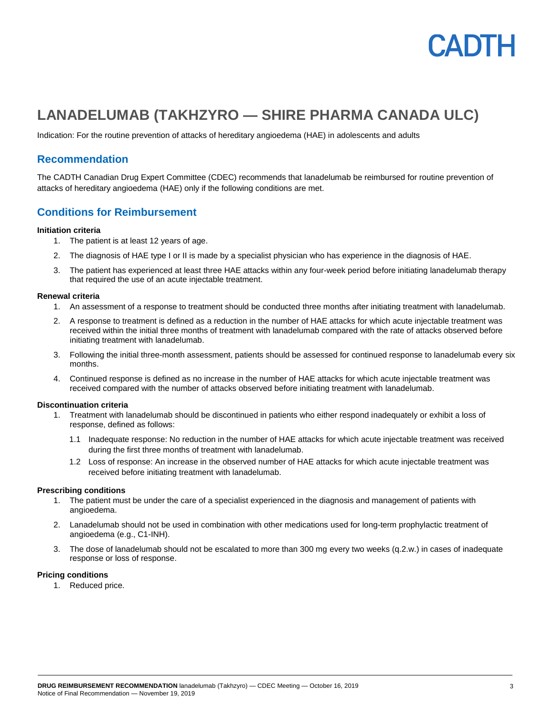

## **LANADELUMAB (TAKHZYRO — SHIRE PHARMA CANADA ULC)**

Indication: For the routine prevention of attacks of hereditary angioedema (HAE) in adolescents and adults

### **Recommendation**

The CADTH Canadian Drug Expert Committee (CDEC) recommends that lanadelumab be reimbursed for routine prevention of attacks of hereditary angioedema (HAE) only if the following conditions are met.

### **Conditions for Reimbursement**

#### **Initiation criteria**

- 1. The patient is at least 12 years of age.
- 2. The diagnosis of HAE type I or II is made by a specialist physician who has experience in the diagnosis of HAE.
- 3. The patient has experienced at least three HAE attacks within any four-week period before initiating lanadelumab therapy that required the use of an acute injectable treatment.

#### **Renewal criteria**

- 1. An assessment of a response to treatment should be conducted three months after initiating treatment with lanadelumab.
- 2. A response to treatment is defined as a reduction in the number of HAE attacks for which acute injectable treatment was received within the initial three months of treatment with lanadelumab compared with the rate of attacks observed before initiating treatment with lanadelumab.
- 3. Following the initial three-month assessment, patients should be assessed for continued response to lanadelumab every six months.
- 4. Continued response is defined as no increase in the number of HAE attacks for which acute injectable treatment was received compared with the number of attacks observed before initiating treatment with lanadelumab.

#### **Discontinuation criteria**

- 1. Treatment with lanadelumab should be discontinued in patients who either respond inadequately or exhibit a loss of response, defined as follows:
	- 1.1 Inadequate response: No reduction in the number of HAE attacks for which acute injectable treatment was received during the first three months of treatment with lanadelumab.
	- 1.2 Loss of response: An increase in the observed number of HAE attacks for which acute injectable treatment was received before initiating treatment with lanadelumab.

#### **Prescribing conditions**

- 1. The patient must be under the care of a specialist experienced in the diagnosis and management of patients with angioedema.
- 2. Lanadelumab should not be used in combination with other medications used for long-term prophylactic treatment of angioedema (e.g., C1-INH).
- 3. The dose of lanadelumab should not be escalated to more than 300 mg every two weeks (q.2.w.) in cases of inadequate response or loss of response.

#### **Pricing conditions**

1. Reduced price.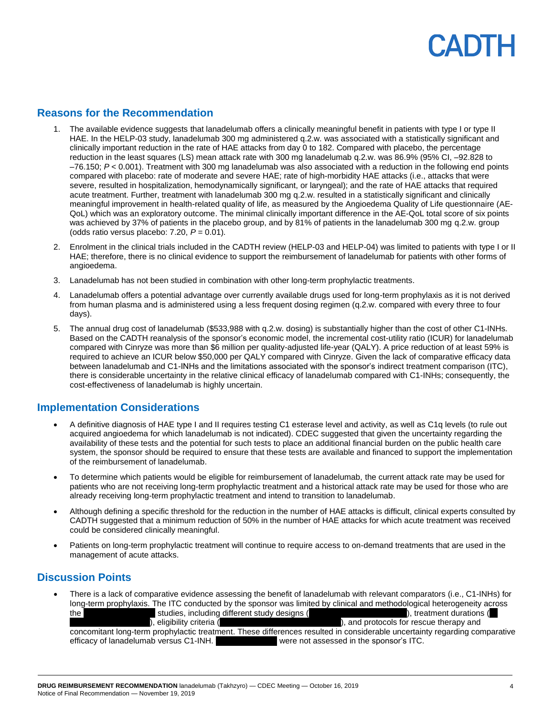## **ANTE**

### **Reasons for the Recommendation**

- 1. The available evidence suggests that lanadelumab offers a clinically meaningful benefit in patients with type I or type II HAE. In the HELP-03 study, lanadelumab 300 mg administered q.2.w. was associated with a statistically significant and clinically important reduction in the rate of HAE attacks from day 0 to 182. Compared with placebo, the percentage reduction in the least squares (LS) mean attack rate with 300 mg lanadelumab q.2.w. was 86.9% (95% CI, –92.828 to  $-76.150$ ;  $P < 0.001$ ). Treatment with 300 mg lanadelumab was also associated with a reduction in the following end points compared with placebo: rate of moderate and severe HAE; rate of high-morbidity HAE attacks (i.e., attacks that were severe, resulted in hospitalization, hemodynamically significant, or laryngeal); and the rate of HAE attacks that required acute treatment. Further, treatment with lanadelumab 300 mg q.2.w. resulted in a statistically significant and clinically meaningful improvement in health-related quality of life, as measured by the Angioedema Quality of Life questionnaire (AE-QoL) which was an exploratory outcome. The minimal clinically important difference in the AE-QoL total score of six points was achieved by 37% of patients in the placebo group, and by 81% of patients in the lanadelumab 300 mg q.2.w. group (odds ratio versus placebo: 7.20, *P* = 0.01).
- 2. Enrolment in the clinical trials included in the CADTH review (HELP-03 and HELP-04) was limited to patients with type I or II HAE; therefore, there is no clinical evidence to support the reimbursement of lanadelumab for patients with other forms of angioedema.
- 3. Lanadelumab has not been studied in combination with other long-term prophylactic treatments.
- 4. Lanadelumab offers a potential advantage over currently available drugs used for long-term prophylaxis as it is not derived from human plasma and is administered using a less frequent dosing regimen (q.2.w. compared with every three to four days).
- 5. The annual drug cost of lanadelumab (\$533,988 with q.2.w. dosing) is substantially higher than the cost of other C1-INHs. Based on the CADTH reanalysis of the sponsor's economic model, the incremental cost-utility ratio (ICUR) for lanadelumab compared with Cinryze was more than \$6 million per quality-adjusted life-year (QALY). A price reduction of at least 59% is required to achieve an ICUR below \$50,000 per QALY compared with Cinryze. Given the lack of comparative efficacy data between lanadelumab and C1-INHs and the limitations associated with the sponsor's indirect treatment comparison (ITC), there is considerable uncertainty in the relative clinical efficacy of lanadelumab compared with C1-INHs; consequently, the cost-effectiveness of lanadelumab is highly uncertain.

## **Implementation Considerations**

- A definitive diagnosis of HAE type I and II requires testing C1 esterase level and activity, as well as C1q levels (to rule out acquired angioedema for which lanadelumab is not indicated). CDEC suggested that given the uncertainty regarding the availability of these tests and the potential for such tests to place an additional financial burden on the public health care system, the sponsor should be required to ensure that these tests are available and financed to support the implementation of the reimbursement of lanadelumab.
- To determine which patients would be eligible for reimbursement of lanadelumab, the current attack rate may be used for patients who are not receiving long-term prophylactic treatment and a historical attack rate may be used for those who are already receiving long-term prophylactic treatment and intend to transition to lanadelumab.
- Although defining a specific threshold for the reduction in the number of HAE attacks is difficult, clinical experts consulted by CADTH suggested that a minimum reduction of 50% in the number of HAE attacks for which acute treatment was received could be considered clinically meaningful.
- Patients on long-term prophylactic treatment will continue to require access to on-demand treatments that are used in the management of acute attacks.

## **Discussion Points**

• There is a lack of comparative evidence assessing the benefit of lanadelumab with relevant comparators (i.e., C1-INHs) for long-term prophylaxis. The ITC conducted by the sponsor was limited by clinical and methodological heterogeneity across the vvvvoltair variations including different study designs (vvvvvoro vvvvoro vvvvoro variations (vvvoro vvoro ), eligibility criteria (vvvvvivo vvvvori vvvvori vvvvori vvrviv vvrdi vvrdi vvrdi vvrdi vvrdi vvrdi vvrdi vvrdi v concomitant long-term prophylactic treatment. These differences resulted in considerable uncertainty regarding comparative efficacy of lanadelumab versus C1-INH. vvere not assessed in the sponsor's ITC.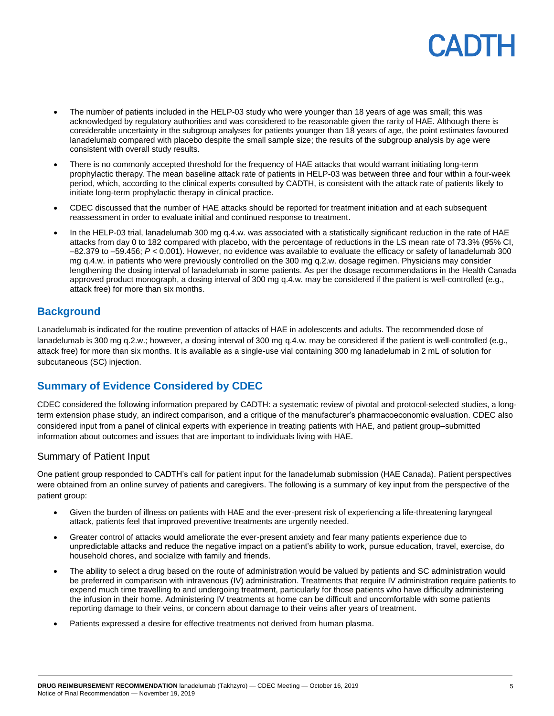## **ANTL**

- The number of patients included in the HELP-03 study who were younger than 18 years of age was small; this was acknowledged by regulatory authorities and was considered to be reasonable given the rarity of HAE. Although there is considerable uncertainty in the subgroup analyses for patients younger than 18 years of age, the point estimates favoured lanadelumab compared with placebo despite the small sample size; the results of the subgroup analysis by age were consistent with overall study results.
- There is no commonly accepted threshold for the frequency of HAE attacks that would warrant initiating long-term prophylactic therapy. The mean baseline attack rate of patients in HELP-03 was between three and four within a four-week period, which, according to the clinical experts consulted by CADTH, is consistent with the attack rate of patients likely to initiate long-term prophylactic therapy in clinical practice.
- CDEC discussed that the number of HAE attacks should be reported for treatment initiation and at each subsequent reassessment in order to evaluate initial and continued response to treatment.
- In the HELP-03 trial, lanadelumab 300 mg q.4.w. was associated with a statistically significant reduction in the rate of HAE attacks from day 0 to 182 compared with placebo, with the percentage of reductions in the LS mean rate of 73.3% (95% CI, –82.379 to –59.456; *P* < 0.001). However, no evidence was available to evaluate the efficacy or safety of lanadelumab 300 mg q.4.w. in patients who were previously controlled on the 300 mg q.2.w. dosage regimen. Physicians may consider lengthening the dosing interval of lanadelumab in some patients. As per the dosage recommendations in the Health Canada approved product monograph, a dosing interval of 300 mg q.4.w. may be considered if the patient is well-controlled (e.g., attack free) for more than six months.

## **Background**

Lanadelumab is indicated for the routine prevention of attacks of HAE in adolescents and adults. The recommended dose of lanadelumab is 300 mg q.2.w.; however, a dosing interval of 300 mg q.4.w. may be considered if the patient is well-controlled (e.g., attack free) for more than six months. It is available as a single-use vial containing 300 mg lanadelumab in 2 mL of solution for subcutaneous (SC) injection.

## **Summary of Evidence Considered by CDEC**

CDEC considered the following information prepared by CADTH: a systematic review of pivotal and protocol-selected studies, a longterm extension phase study, an indirect comparison, and a critique of the manufacturer's pharmacoeconomic evaluation. CDEC also considered input from a panel of clinical experts with experience in treating patients with HAE, and patient group–submitted information about outcomes and issues that are important to individuals living with HAE.

#### Summary of Patient Input

One patient group responded to CADTH's call for patient input for the lanadelumab submission (HAE Canada). Patient perspectives were obtained from an online survey of patients and caregivers. The following is a summary of key input from the perspective of the patient group:

- Given the burden of illness on patients with HAE and the ever-present risk of experiencing a life-threatening laryngeal attack, patients feel that improved preventive treatments are urgently needed.
- Greater control of attacks would ameliorate the ever-present anxiety and fear many patients experience due to unpredictable attacks and reduce the negative impact on a patient's ability to work, pursue education, travel, exercise, do household chores, and socialize with family and friends.
- The ability to select a drug based on the route of administration would be valued by patients and SC administration would be preferred in comparison with intravenous (IV) administration. Treatments that require IV administration require patients to expend much time travelling to and undergoing treatment, particularly for those patients who have difficulty administering the infusion in their home. Administering IV treatments at home can be difficult and uncomfortable with some patients reporting damage to their veins, or concern about damage to their veins after years of treatment.
- Patients expressed a desire for effective treatments not derived from human plasma.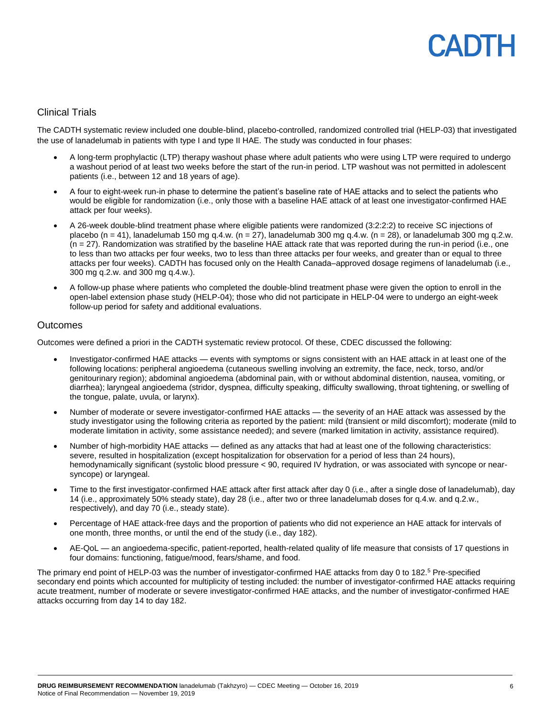## **ANTE**

#### Clinical Trials

The CADTH systematic review included one double-blind, placebo-controlled, randomized controlled trial (HELP-03) that investigated the use of lanadelumab in patients with type I and type II HAE. The study was conducted in four phases:

- A long-term prophylactic (LTP) therapy washout phase where adult patients who were using LTP were required to undergo a washout period of at least two weeks before the start of the run-in period. LTP washout was not permitted in adolescent patients (i.e., between 12 and 18 years of age).
- A four to eight-week run-in phase to determine the patient's baseline rate of HAE attacks and to select the patients who would be eligible for randomization (i.e., only those with a baseline HAE attack of at least one investigator-confirmed HAE attack per four weeks).
- A 26-week double-blind treatment phase where eligible patients were randomized (3:2:2:2) to receive SC injections of placebo (n = 41), lanadelumab 150 mg q.4.w. (n = 27), lanadelumab 300 mg q.4.w. (n = 28), or lanadelumab 300 mg q.2.w. (n = 27). Randomization was stratified by the baseline HAE attack rate that was reported during the run-in period (i.e., one to less than two attacks per four weeks, two to less than three attacks per four weeks, and greater than or equal to three attacks per four weeks). CADTH has focused only on the Health Canada–approved dosage regimens of lanadelumab (i.e., 300 mg q.2.w. and 300 mg q.4.w.).
- A follow-up phase where patients who completed the double-blind treatment phase were given the option to enroll in the open-label extension phase study (HELP-04); those who did not participate in HELP-04 were to undergo an eight-week follow-up period for safety and additional evaluations.

#### **Outcomes**

Outcomes were defined a priori in the CADTH systematic review protocol. Of these, CDEC discussed the following:

- Investigator-confirmed HAE attacks events with symptoms or signs consistent with an HAE attack in at least one of the following locations: peripheral angioedema (cutaneous swelling involving an extremity, the face, neck, torso, and/or genitourinary region); abdominal angioedema (abdominal pain, with or without abdominal distention, nausea, vomiting, or diarrhea); laryngeal angioedema (stridor, dyspnea, difficulty speaking, difficulty swallowing, throat tightening, or swelling of the tongue, palate, uvula, or larynx).
- Number of moderate or severe investigator-confirmed HAE attacks the severity of an HAE attack was assessed by the study investigator using the following criteria as reported by the patient: mild (transient or mild discomfort); moderate (mild to moderate limitation in activity, some assistance needed); and severe (marked limitation in activity, assistance required).
- Number of high-morbidity HAE attacks defined as any attacks that had at least one of the following characteristics: severe, resulted in hospitalization (except hospitalization for observation for a period of less than 24 hours), hemodynamically significant (systolic blood pressure < 90, required IV hydration, or was associated with syncope or nearsyncope) or laryngeal.
- Time to the first investigator-confirmed HAE attack after first attack after day 0 (i.e., after a single dose of lanadelumab), day 14 (i.e., approximately 50% steady state), day 28 (i.e., after two or three lanadelumab doses for q.4.w. and q.2.w., respectively), and day 70 (i.e., steady state).
- Percentage of HAE attack-free days and the proportion of patients who did not experience an HAE attack for intervals of one month, three months, or until the end of the study (i.e., day 182).
- AE-QoL an angioedema-specific, patient-reported, health-related quality of life measure that consists of 17 questions in four domains: functioning, fatigue/mood, fears/shame, and food.

The primary end point of HELP-03 was the number of investigator-confirmed HAE attacks from day 0 to 182.<sup>5</sup> Pre-specified secondary end points which accounted for multiplicity of testing included: the number of investigator-confirmed HAE attacks requiring acute treatment, number of moderate or severe investigator-confirmed HAE attacks, and the number of investigator-confirmed HAE attacks occurring from day 14 to day 182.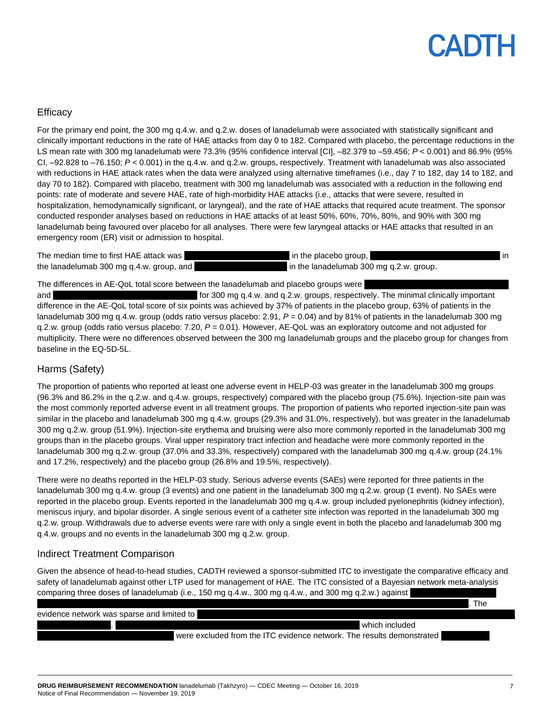## CADTH

### **Efficacy**

For the primary end point, the 300 mg q.4.w. and q.2.w. doses of lanadelumab were associated with statistically significant and clinically important reductions in the rate of HAE attacks from day 0 to 182. Compared with placebo, the percentage reductions in the LS mean rate with 300 mg lanadelumab were 73.3% (95% confidence interval [CI], –82.379 to –59.456; *P* < 0.001) and 86.9% (95% CI, –92.828 to –76.150; *P* < 0.001) in the q.4.w. and q.2.w. groups, respectively. Treatment with lanadelumab was also associated with reductions in HAE attack rates when the data were analyzed using alternative timeframes (i.e., day 7 to 182, day 14 to 182, and day 70 to 182). Compared with placebo, treatment with 300 mg lanadelumab was associated with a reduction in the following end points: rate of moderate and severe HAE, rate of high-morbidity HAE attacks (i.e., attacks that were severe, resulted in hospitalization, hemodynamically significant, or laryngeal), and the rate of HAE attacks that required acute treatment. The sponsor conducted responder analyses based on reductions in HAE attacks of at least 50%, 60%, 70%, 80%, and 90% with 300 mg lanadelumab being favoured over placebo for all analyses. There were few laryngeal attacks or HAE attacks that resulted in an emergency room (ER) visit or admission to hospital.

| The median time to first HAE attack was  | in the placebo group,<br>l in           |
|------------------------------------------|-----------------------------------------|
| the lanadelumab 300 mg q.4.w. group, and | in the lanadelumab 300 mg q.2.w. group. |

The differences in AE-QoL total score between the lanadelumab and placebo groups were

and vvvv vove variables variables of the 300 mg q.4.w. and q.2.w. groups, respectively. The minimal clinically important difference in the AE-QoL total score of six points was achieved by 37% of patients in the placebo group, 63% of patients in the lanadelumab 300 mg q.4.w. group (odds ratio versus placebo: 2.91, *P* = 0.04) and by 81% of patients in the lanadelumab 300 mg q.2.w. group (odds ratio versus placebo: 7.20, *P* = 0.01). However, AE-QoL was an exploratory outcome and not adjusted for multiplicity. There were no differences observed between the 300 mg lanadelumab groups and the placebo group for changes from baseline in the EQ-5D-5L.

### Harms (Safety)

The proportion of patients who reported at least one adverse event in HELP-03 was greater in the lanadelumab 300 mg groups (96.3% and 86.2% in the q.2.w. and q.4.w. groups, respectively) compared with the placebo group (75.6%). Injection-site pain was the most commonly reported adverse event in all treatment groups. The proportion of patients who reported injection-site pain was similar in the placebo and lanadelumab 300 mg q.4.w. groups (29.3% and 31.0%, respectively), but was greater in the lanadelumab 300 mg q.2.w. group (51.9%). Injection-site erythema and bruising were also more commonly reported in the lanadelumab 300 mg groups than in the placebo groups. Viral upper respiratory tract infection and headache were more commonly reported in the lanadelumab 300 mg q.2.w. group (37.0% and 33.3%, respectively) compared with the lanadelumab 300 mg q.4.w. group (24.1% and 17.2%, respectively) and the placebo group (26.8% and 19.5%, respectively).

There were no deaths reported in the HELP-03 study. Serious adverse events (SAEs) were reported for three patients in the lanadelumab 300 mg q.4.w. group (3 events) and one patient in the lanadelumab 300 mg q.2.w. group (1 event). No SAEs were reported in the placebo group. Events reported in the lanadelumab 300 mg q.4.w. group included pyelonephritis (kidney infection), meniscus injury, and bipolar disorder. A single serious event of a catheter site infection was reported in the lanadelumab 300 mg q.2.w. group. Withdrawals due to adverse events were rare with only a single event in both the placebo and lanadelumab 300 mg q.4.w. groups and no events in the lanadelumab 300 mg q.2.w. group.

## Indirect Treatment Comparison

Given the absence of head-to-head studies, CADTH reviewed a sponsor-submitted ITC to investigate the comparative efficacy and safety of lanadelumab against other LTP used for management of HAE. The ITC consisted of a Bayesian network meta-analysis comparing three doses of lanadelumab (i.e., 150 mg q.4.w., 300 mg q.4.w., and 300 mg q.2.w.) against

|                                            | The                                                                   |  |
|--------------------------------------------|-----------------------------------------------------------------------|--|
| evidence network was sparse and limited to |                                                                       |  |
|                                            | which included                                                        |  |
|                                            | were excluded from the ITC evidence network. The results demonstrated |  |
|                                            |                                                                       |  |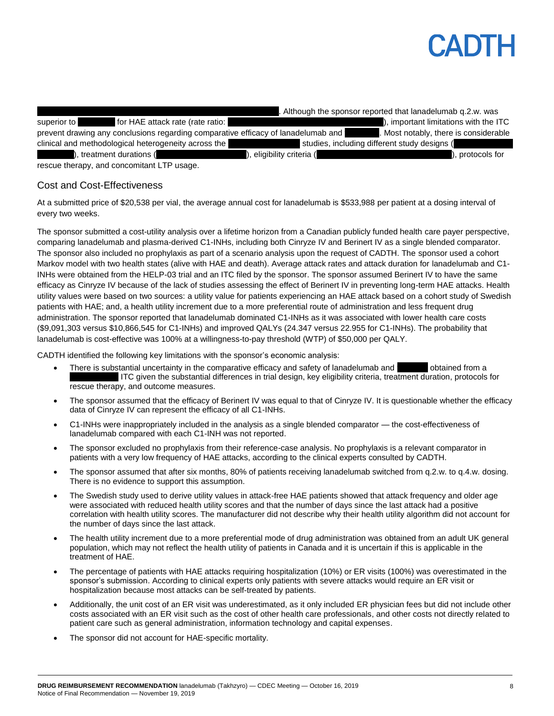## PADTH

|                                                                                   | Although the sponsor reported that lanadelumab q.2.w. was |
|-----------------------------------------------------------------------------------|-----------------------------------------------------------|
| superior to<br>for HAE attack rate (rate ratio:                                   | ), important limitations with the ITC                     |
| prevent drawing any conclusions regarding comparative efficacy of lanadelumab and | Most notably, there is considerable                       |
| clinical and methodological heterogeneity across the                              | studies, including different study designs (              |
| ), treatment durations (                                                          | . protocols for<br>), eligibility criteria (              |
| resource thereby and conceptiont LTD usego                                        |                                                           |

rescue therapy, and concomitant LTP usage.

#### Cost and Cost-Effectiveness

At a submitted price of \$20,538 per vial, the average annual cost for lanadelumab is \$533,988 per patient at a dosing interval of every two weeks.

The sponsor submitted a cost-utility analysis over a lifetime horizon from a Canadian publicly funded health care payer perspective, comparing lanadelumab and plasma-derived C1-INHs, including both Cinryze IV and Berinert IV as a single blended comparator. The sponsor also included no prophylaxis as part of a scenario analysis upon the request of CADTH. The sponsor used a cohort Markov model with two health states (alive with HAE and death). Average attack rates and attack duration for lanadelumab and C1- INHs were obtained from the HELP-03 trial and an ITC filed by the sponsor. The sponsor assumed Berinert IV to have the same efficacy as Cinryze IV because of the lack of studies assessing the effect of Berinert IV in preventing long-term HAE attacks. Health utility values were based on two sources: a utility value for patients experiencing an HAE attack based on a cohort study of Swedish patients with HAE; and, a health utility increment due to a more preferential route of administration and less frequent drug administration. The sponsor reported that lanadelumab dominated C1-INHs as it was associated with lower health care costs (\$9,091,303 versus \$10,866,545 for C1-INHs) and improved QALYs (24.347 versus 22.955 for C1-INHs). The probability that lanadelumab is cost-effective was 100% at a willingness-to-pay threshold (WTP) of \$50,000 per QALY.

CADTH identified the following key limitations with the sponsor's economic analysis:

- There is substantial uncertainty in the comparative efficacy and safety of lanadelumab and  $\Box$  obtained from a ITC given the substantial differences in trial design, key eligibility criteria, treatment duration, protocols for rescue therapy, and outcome measures.
- The sponsor assumed that the efficacy of Berinert IV was equal to that of Cinryze IV. It is questionable whether the efficacy data of Cinryze IV can represent the efficacy of all C1-INHs.
- C1-INHs were inappropriately included in the analysis as a single blended comparator the cost-effectiveness of lanadelumab compared with each C1-INH was not reported.
- The sponsor excluded no prophylaxis from their reference-case analysis. No prophylaxis is a relevant comparator in patients with a very low frequency of HAE attacks, according to the clinical experts consulted by CADTH.
- The sponsor assumed that after six months, 80% of patients receiving lanadelumab switched from q.2.w. to q.4.w. dosing. There is no evidence to support this assumption.
- The Swedish study used to derive utility values in attack-free HAE patients showed that attack frequency and older age were associated with reduced health utility scores and that the number of days since the last attack had a positive correlation with health utility scores. The manufacturer did not describe why their health utility algorithm did not account for the number of days since the last attack.
- The health utility increment due to a more preferential mode of drug administration was obtained from an adult UK general population, which may not reflect the health utility of patients in Canada and it is uncertain if this is applicable in the treatment of HAE.
- The percentage of patients with HAE attacks requiring hospitalization (10%) or ER visits (100%) was overestimated in the sponsor's submission. According to clinical experts only patients with severe attacks would require an ER visit or hospitalization because most attacks can be self-treated by patients.
- Additionally, the unit cost of an ER visit was underestimated, as it only included ER physician fees but did not include other costs associated with an ER visit such as the cost of other health care professionals, and other costs not directly related to patient care such as general administration, information technology and capital expenses.
- The sponsor did not account for HAE-specific mortality.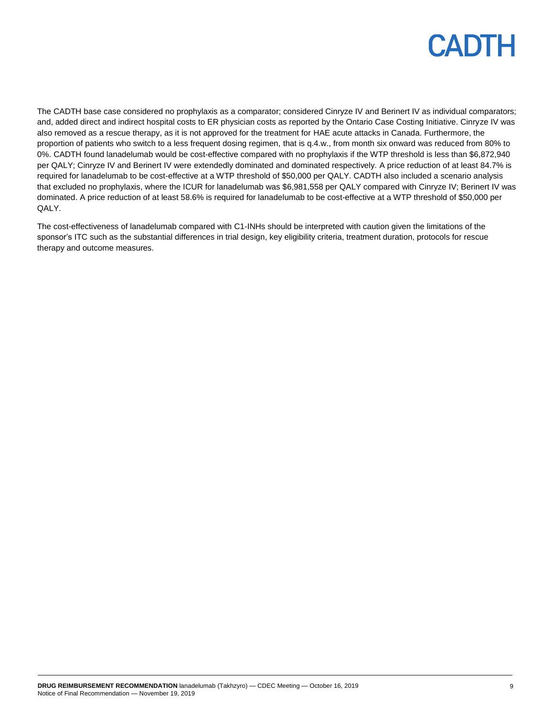

The CADTH base case considered no prophylaxis as a comparator; considered Cinryze IV and Berinert IV as individual comparators; and, added direct and indirect hospital costs to ER physician costs as reported by the Ontario Case Costing Initiative. Cinryze IV was also removed as a rescue therapy, as it is not approved for the treatment for HAE acute attacks in Canada. Furthermore, the proportion of patients who switch to a less frequent dosing regimen, that is q.4.w., from month six onward was reduced from 80% to 0%. CADTH found lanadelumab would be cost-effective compared with no prophylaxis if the WTP threshold is less than \$6,872,940 per QALY; Cinryze IV and Berinert IV were extendedly dominated and dominated respectively. A price reduction of at least 84.7% is required for lanadelumab to be cost-effective at a WTP threshold of \$50,000 per QALY. CADTH also included a scenario analysis that excluded no prophylaxis, where the ICUR for lanadelumab was \$6,981,558 per QALY compared with Cinryze IV; Berinert IV was dominated. A price reduction of at least 58.6% is required for lanadelumab to be cost-effective at a WTP threshold of \$50,000 per QALY.

The cost-effectiveness of lanadelumab compared with C1-INHs should be interpreted with caution given the limitations of the sponsor's ITC such as the substantial differences in trial design, key eligibility criteria, treatment duration, protocols for rescue therapy and outcome measures.